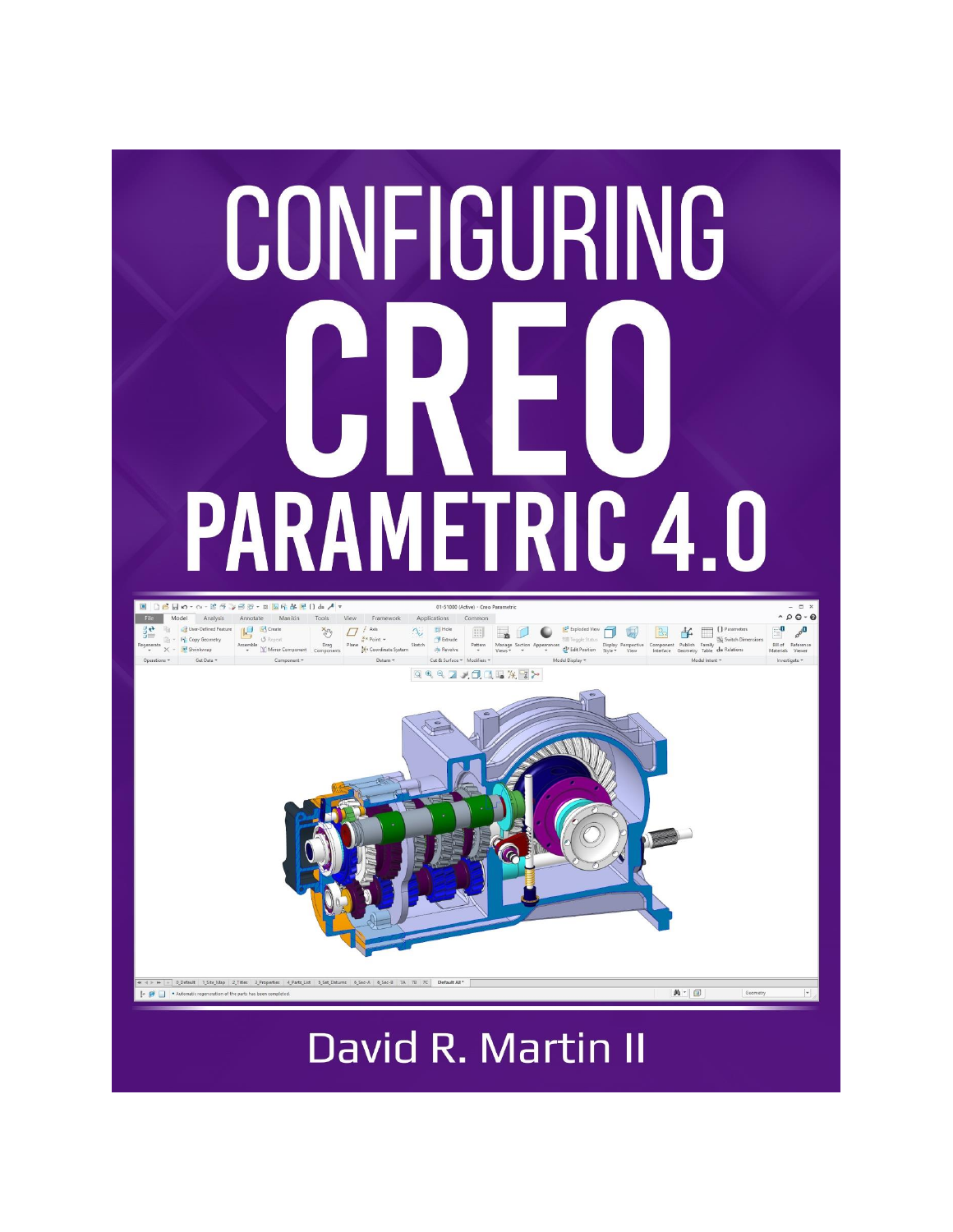

## David R. Martin II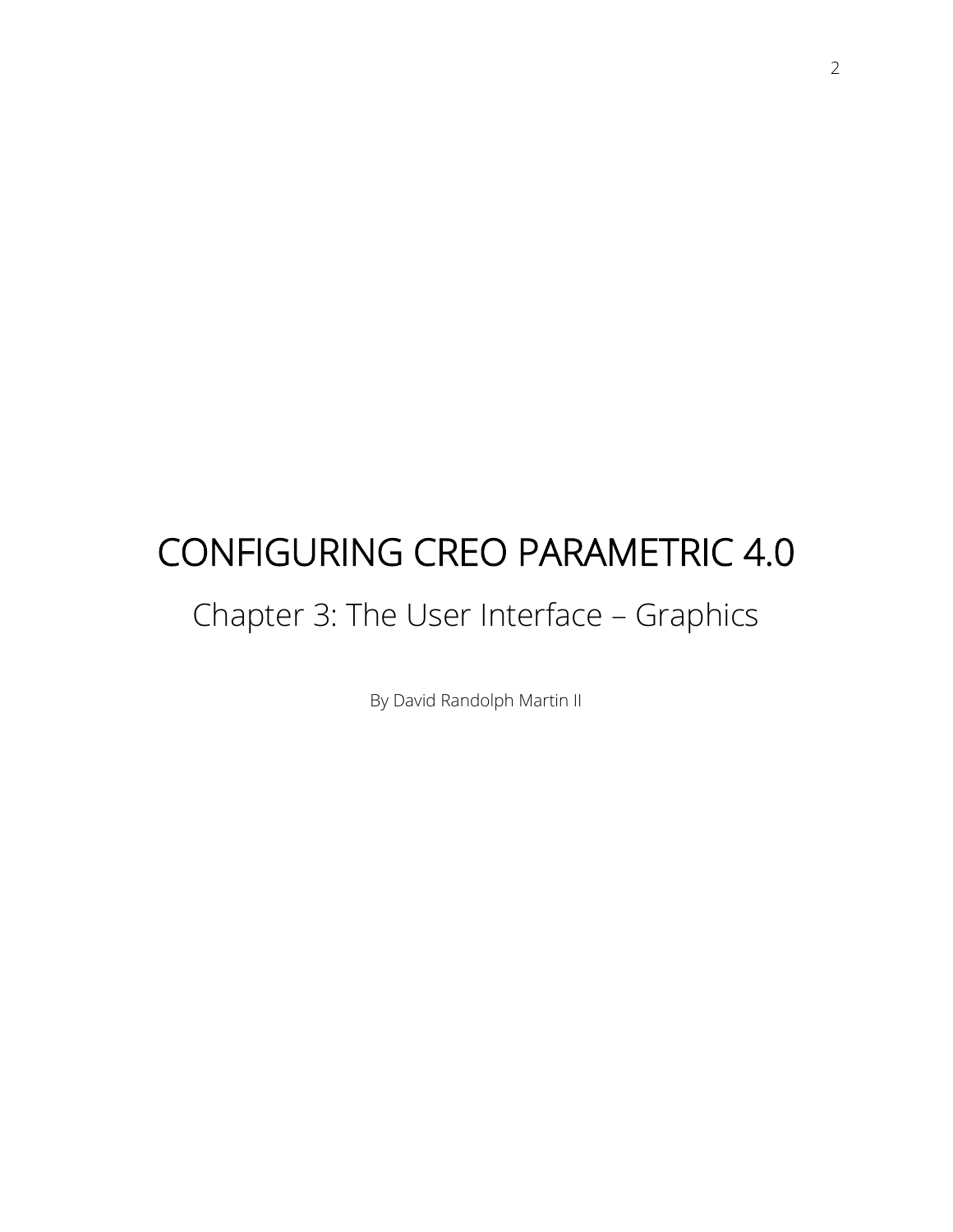# CONFIGURING CREO PARAMETRIC 4.0

## Chapter 3: The User Interface – Graphics

By David Randolph Martin II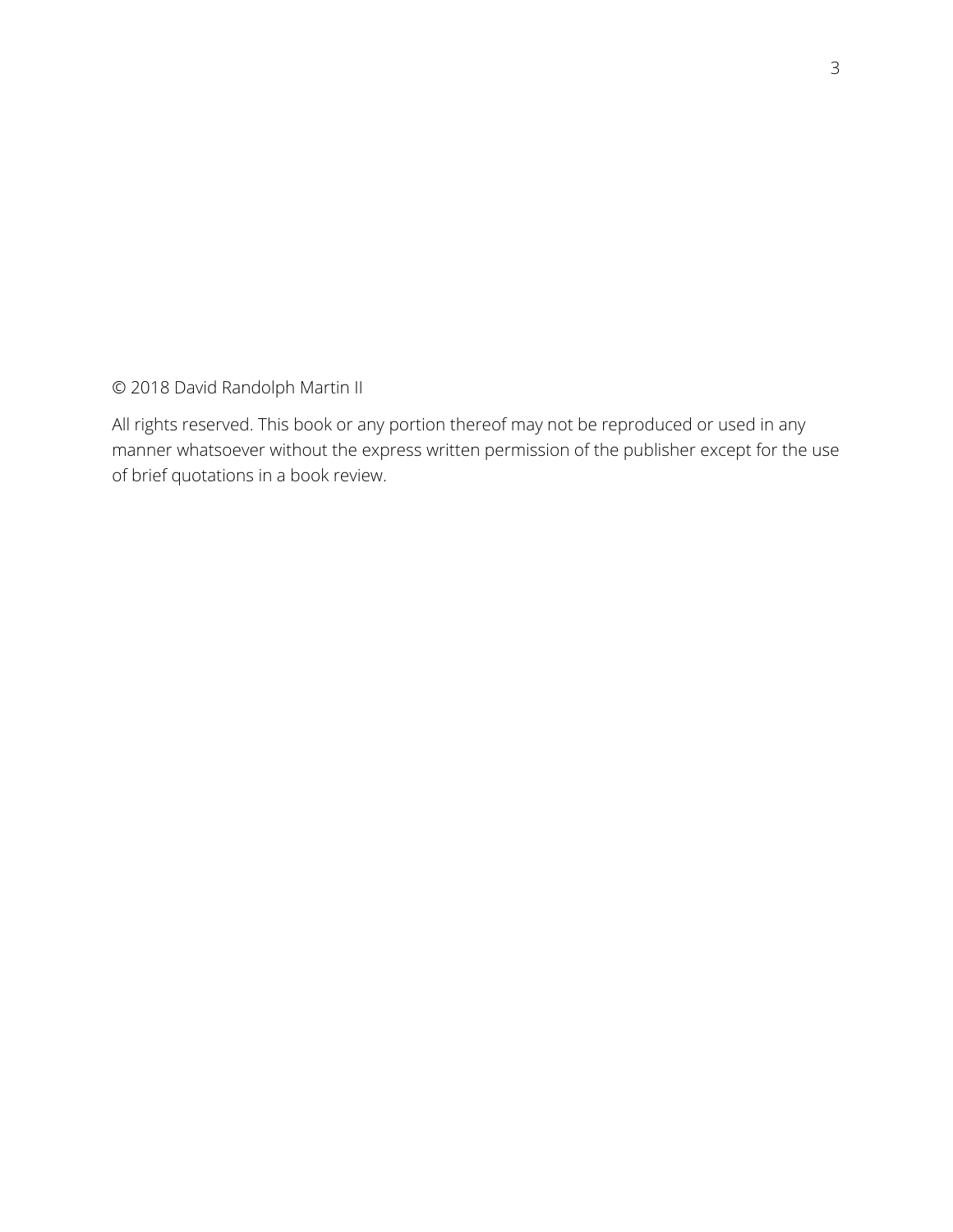© 2018 David Randolph Martin II

All rights reserved. This book or any portion thereof may not be reproduced or used in any manner whatsoever without the express written permission of the publisher except for the use of brief quotations in a book review.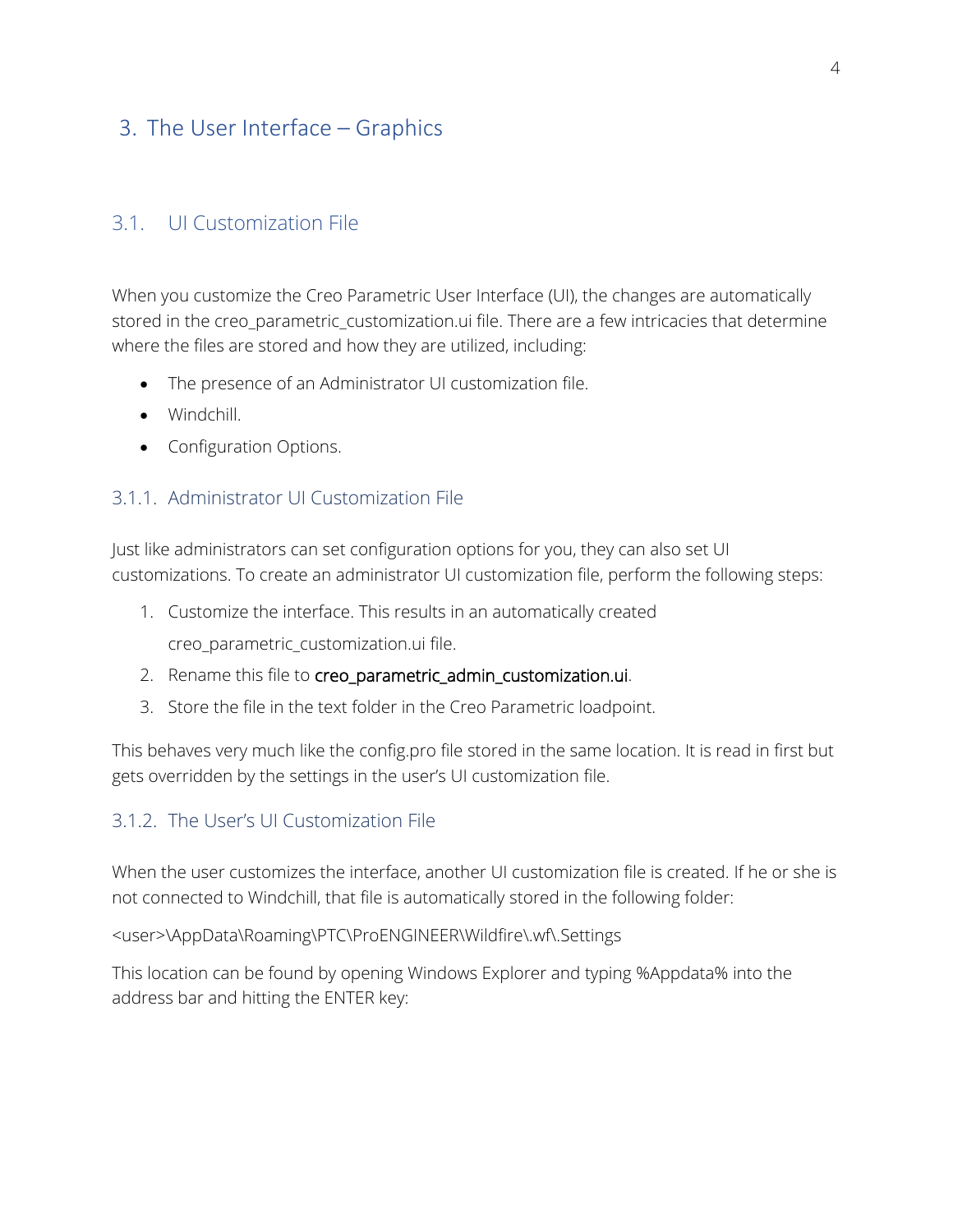## 3. The User Interface – Graphics

#### 3.1. UI Customization File

When you customize the Creo Parametric User Interface (UI), the changes are automatically stored in the creo\_parametric\_customization.ui file. There are a few intricacies that determine where the files are stored and how they are utilized, including:

- The presence of an Administrator UI customization file.
- Windchill.
- Configuration Options.

#### 3.1.1. Administrator UI Customization File

Just like administrators can set configuration options for you, they can also set UI customizations. To create an administrator UI customization file, perform the following steps:

- 1. Customize the interface. This results in an automatically created creo\_parametric\_customization.ui file.
- 2. Rename this file to creo\_parametric\_admin\_customization.ui.
- 3. Store the file in the text folder in the Creo Parametric loadpoint.

This behaves very much like the config.pro file stored in the same location. It is read in first but gets overridden by the settings in the user's UI customization file.

#### 3.1.2. The User's UI Customization File

When the user customizes the interface, another UI customization file is created. If he or she is not connected to Windchill, that file is automatically stored in the following folder:

<user>\AppData\Roaming\PTC\ProENGINEER\Wildfire\.wf\.Settings

This location can be found by opening Windows Explorer and typing %Appdata% into the address bar and hitting the ENTER key: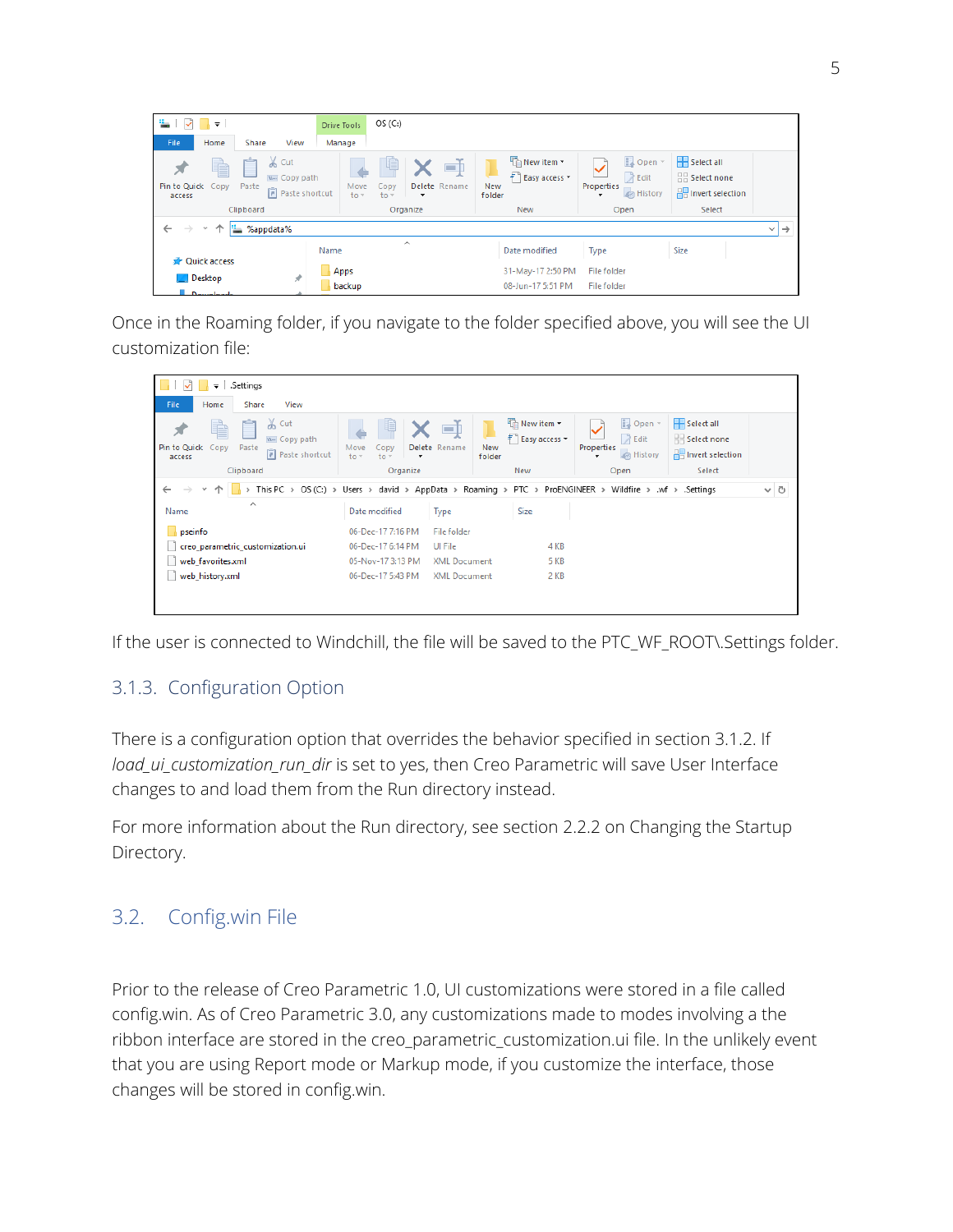| ≞ा⊽<br><b>I V</b><br>Home<br>File                                               | Share<br>View                                                                          | Drive Tools<br>Manage | OS(C.)                                                                             |                                                            |                                                                         |                                                                          |  |
|---------------------------------------------------------------------------------|----------------------------------------------------------------------------------------|-----------------------|------------------------------------------------------------------------------------|------------------------------------------------------------|-------------------------------------------------------------------------|--------------------------------------------------------------------------|--|
| È<br>Pin to Quick<br>Copy<br>access                                             | $\chi$ Cut<br>وكبر<br>W <sub>"</sub> Copy path<br>Paste<br>Paste shortcut<br>Clipboard | Move<br>$to -$        | 唱<br>o۱<br>Delete Rename<br>Copy<br>$to -$<br>$\overline{\phantom{a}}$<br>Organize | New item *<br>F Easy access<br><b>New</b><br>folder<br>New | D Open<br><b>A</b> Edit<br>Properties<br><b>B</b> History<br>۰.<br>Open | Select all<br>$\frac{100}{100}$ Select none<br><b>Relation</b><br>Select |  |
| $\leftarrow$<br>$\rightarrow$<br>%appdata%<br>$\rightarrow$<br>v<br>$\vee$<br>ኈ |                                                                                        |                       |                                                                                    |                                                            |                                                                         |                                                                          |  |
| <b>Quick access</b>                                                             |                                                                                        | Name<br>Apps          | $\wedge$                                                                           | Date modified<br>31-May-17 2:50 PM                         | Type<br><b>File folder</b>                                              | Size                                                                     |  |
| <b>Desktop</b><br>بالمحاسبيين ال                                                | À                                                                                      | backup                |                                                                                    | 08-Jun-17 5:51 PM                                          | File folder                                                             |                                                                          |  |

Once in the Roaming folder, if you navigate to the folder specified above, you will see the UI customization file:

| .Settings<br>∓∣                                                                                            |                                                                                                                    |                                       |                               |                                                                  |                                                                       |  |  |
|------------------------------------------------------------------------------------------------------------|--------------------------------------------------------------------------------------------------------------------|---------------------------------------|-------------------------------|------------------------------------------------------------------|-----------------------------------------------------------------------|--|--|
| File<br>Home<br>Share<br>View                                                                              |                                                                                                                    |                                       |                               |                                                                  |                                                                       |  |  |
| $\chi$ Cut<br>я<br>E<br>W <sub>"</sub> Copy path<br>Pin to Quick Copy<br>Paste<br>Paste shortcut<br>access | Move<br>Copy<br>$to -$<br>$to -$<br>$\overline{\phantom{a}}$                                                       | o p<br>Delete Rename<br>New<br>folder | New item *<br>₹ Easy access ▼ | Dopen -<br>$\lambda$ Edit<br><b>Properties</b><br>A History<br>٠ | Select all<br>$\frac{1}{2}$ Select none<br><b>He Invert selection</b> |  |  |
| Clipboard                                                                                                  | Organize                                                                                                           |                                       | New                           | Open                                                             | Select                                                                |  |  |
| $\omega$                                                                                                   | This PC > OS (C:) > Users > david > AppData > Roaming > PTC > ProENGINEER > Wildfire > .wf > .Settings<br>$\sim$ 0 |                                       |                               |                                                                  |                                                                       |  |  |
| $\wedge$<br>Name                                                                                           | Date modified                                                                                                      | Type                                  | <b>Size</b>                   |                                                                  |                                                                       |  |  |
| pseinfo                                                                                                    | 06-Dec-177:16 PM                                                                                                   | File folder                           |                               |                                                                  |                                                                       |  |  |
| creo_parametric_customization.ui                                                                           | 06-Dec-17 6:14 PM                                                                                                  | Ul File                               | 4 KB                          |                                                                  |                                                                       |  |  |
| web favorites.xml                                                                                          | 05-Nov-173:13 PM                                                                                                   | <b>XML Document</b>                   | 5 KB                          |                                                                  |                                                                       |  |  |
| web_history.xml                                                                                            | 06-Dec-17 5:43 PM                                                                                                  | <b>XML Document</b>                   | 2 KB                          |                                                                  |                                                                       |  |  |
|                                                                                                            |                                                                                                                    |                                       |                               |                                                                  |                                                                       |  |  |
|                                                                                                            |                                                                                                                    |                                       |                               |                                                                  |                                                                       |  |  |

If the user is connected to Windchill, the file will be saved to the PTC\_WF\_ROOT\.Settings folder.

#### 3.1.3. Configuration Option

There is a configuration option that overrides the behavior specified in section 3.1.2. If *load\_ui\_customization\_run\_dir* is set to yes, then Creo Parametric will save User Interface changes to and load them from the Run directory instead.

For more information about the Run directory, see section 2.2.2 on Changing the Startup Directory.

## 3.2. Config.win File

Prior to the release of Creo Parametric 1.0, UI customizations were stored in a file called config.win. As of Creo Parametric 3.0, any customizations made to modes involving a the ribbon interface are stored in the creo\_parametric\_customization.ui file. In the unlikely event that you are using Report mode or Markup mode, if you customize the interface, those changes will be stored in config.win.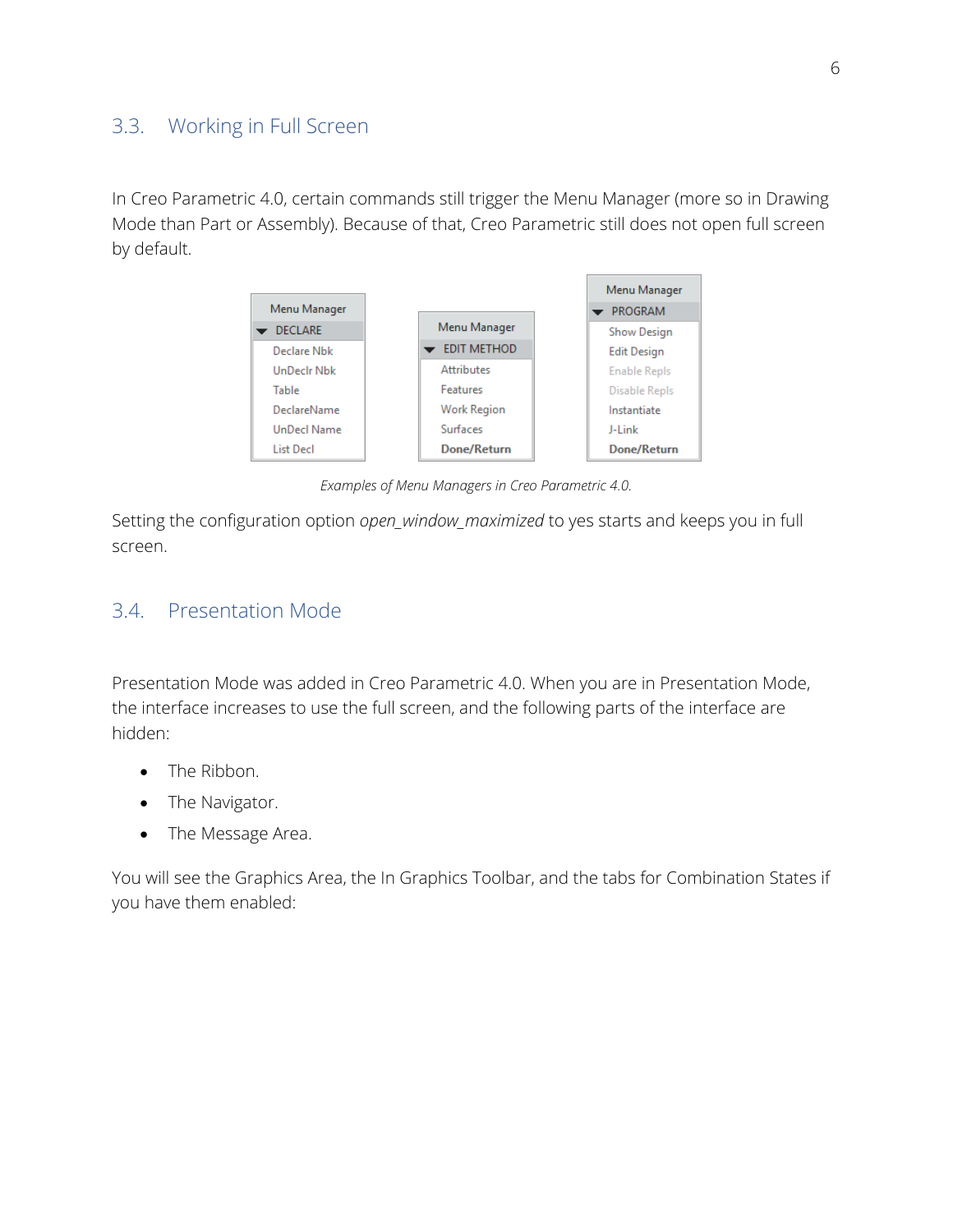### 3.3. Working in Full Screen

In Creo Parametric 4.0, certain commands still trigger the Menu Manager (more so in Drawing Mode than Part or Assembly). Because of that, Creo Parametric still does not open full screen by default.

![](_page_5_Figure_2.jpeg)

*Examples of Menu Managers in Creo Parametric 4.0.*

Setting the configuration option *open\_window\_maximized* to yes starts and keeps you in full screen.

#### 3.4. Presentation Mode

Presentation Mode was added in Creo Parametric 4.0. When you are in Presentation Mode, the interface increases to use the full screen, and the following parts of the interface are hidden:

- The Ribbon.
- The Navigator.
- The Message Area.

You will see the Graphics Area, the In Graphics Toolbar, and the tabs for Combination States if you have them enabled: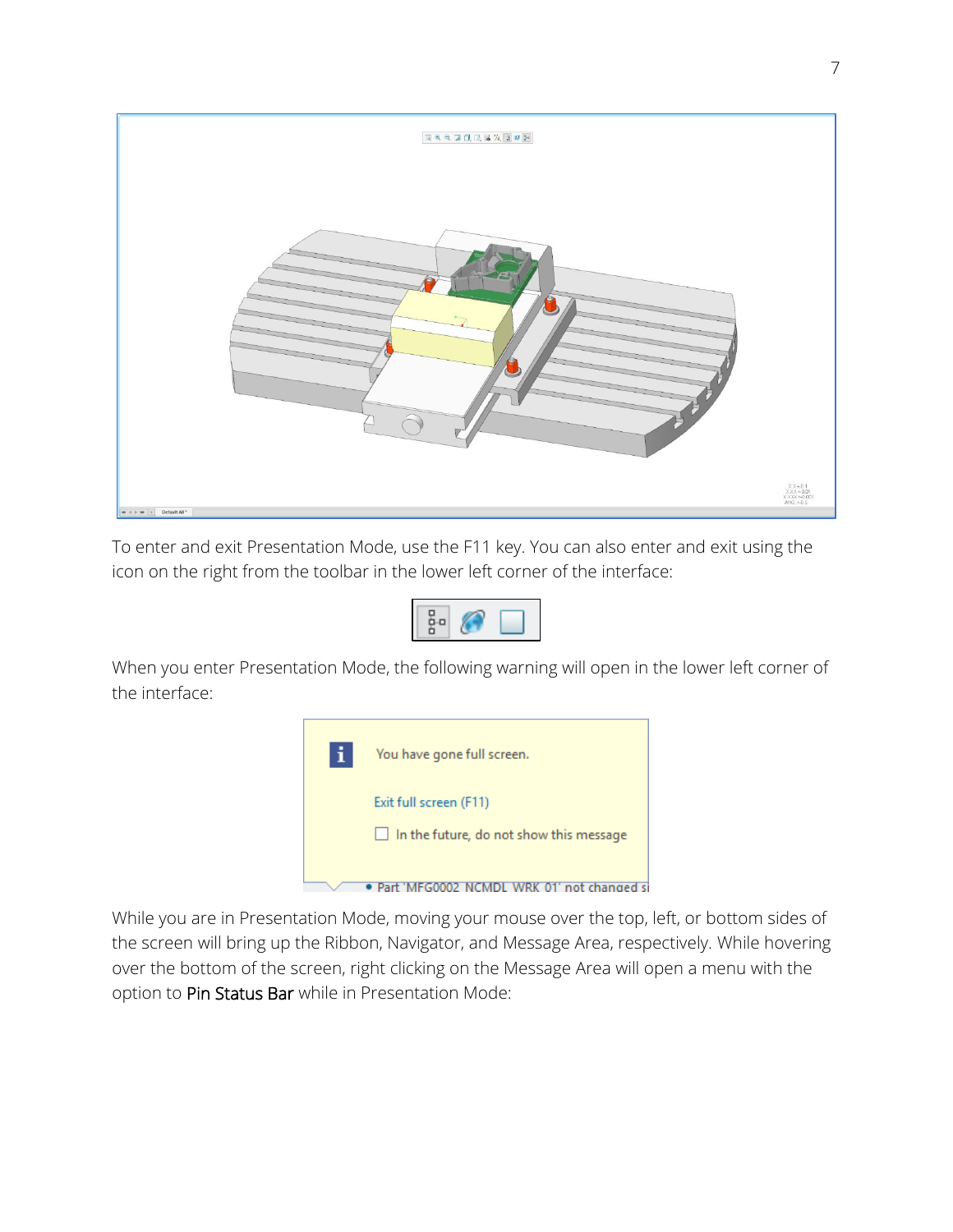![](_page_6_Picture_0.jpeg)

To enter and exit Presentation Mode, use the F11 key. You can also enter and exit using the icon on the right from the toolbar in the lower left corner of the interface:

![](_page_6_Picture_2.jpeg)

When you enter Presentation Mode, the following warning will open in the lower left corner of the interface:

![](_page_6_Picture_4.jpeg)

While you are in Presentation Mode, moving your mouse over the top, left, or bottom sides of the screen will bring up the Ribbon, Navigator, and Message Area, respectively. While hovering over the bottom of the screen, right clicking on the Message Area will open a menu with the option to Pin Status Bar while in Presentation Mode: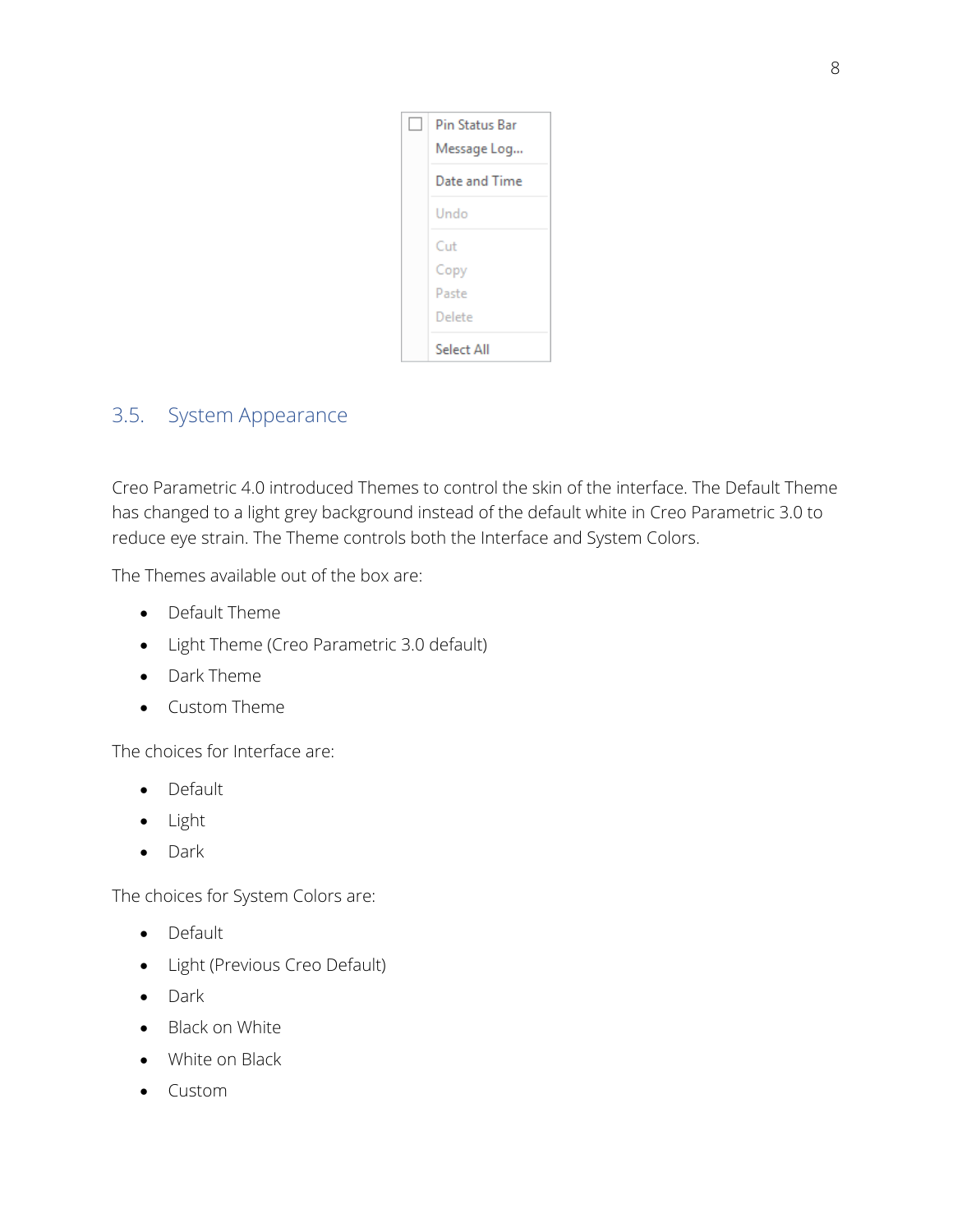| Pin Status Bar |
|----------------|
| Message Log    |
| Date and Time  |
| Undo           |
| Cut            |
| Copy           |
| Paste          |
| Delete         |
| Select All     |

## 3.5. System Appearance

Creo Parametric 4.0 introduced Themes to control the skin of the interface. The Default Theme has changed to a light grey background instead of the default white in Creo Parametric 3.0 to reduce eye strain. The Theme controls both the Interface and System Colors.

The Themes available out of the box are:

- Default Theme
- Light Theme (Creo Parametric 3.0 default)
- Dark Theme
- Custom Theme

The choices for Interface are:

- Default
- Light
- Dark

The choices for System Colors are:

- Default
- Light (Previous Creo Default)
- Dark
- Black on White
- White on Black
- Custom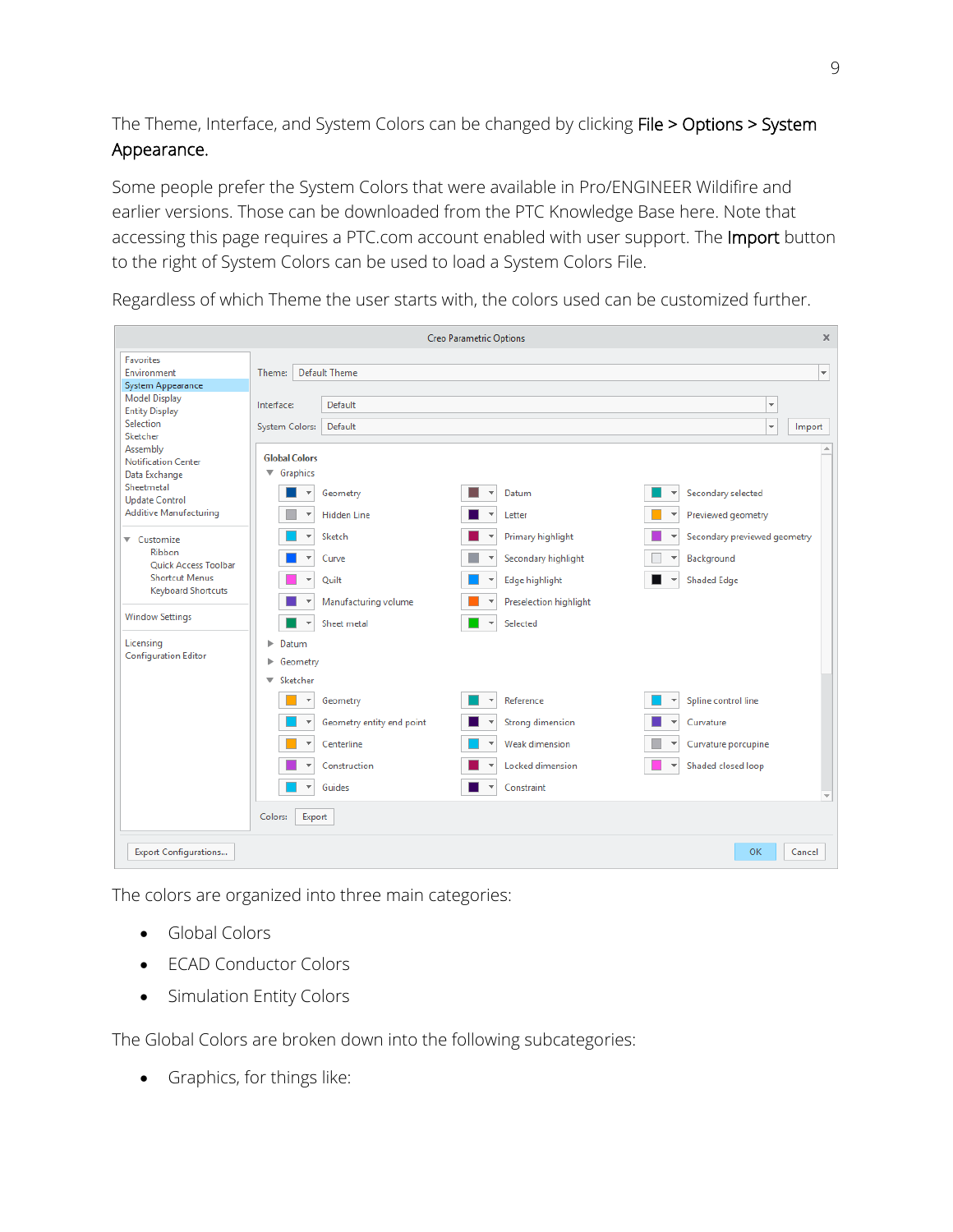The Theme, Interface, and System Colors can be changed by clicking File > Options > System Appearance.

Some people prefer the System Colors that were available in Pro/ENGINEER Wildifire and earlier versions. Those can be downloaded from the PTC Knowledge Base here. Note that accessing this page requires a PTC.com account enabled with user support. The Import button to the right of System Colors can be used to load a System Colors File.

Creo Parametric Options x **Favorites** Theme: Default Theme  $\left| \mathbf{v} \right|$ Environment System Appearance **Model Display** Default  $\overline{\phantom{a}}$ Interface: **Entity Display** Selection System Colors: Default  $\overline{\phantom{0}}$ Import Sketcher Assembly **Global Colors** Notification Center  $\blacktriangledown$  Graphics Data Exchange Sheetmetal  $\blacksquare$   $\blacktriangleright$  Geometry  $\blacksquare$   $\blacktriangledown$  Datum ▼ Secondary selected **Update Control** Additive Manufacturing Hidden Line  $\blacksquare$   $\blacktriangleright$  Letter Previewed geometry  $\blacksquare$   $\blacktriangleright$  Sketch  $\begin{array}{|c|c|c|}\n\hline\n\multicolumn{1}{|c|}{\hline\n\multicolumn{1}{c|}{\hline\n\multicolumn{1}{c|}{\hline\n\multicolumn{1}{c|}{\hline\n\multicolumn{1}{c|}{\hline\n\multicolumn{1}{c|}{\hline\n\multicolumn{1}{c|}{\hline\n\multicolumn{1}{c|}{\hline\n\multicolumn{1}{c|}{\hline\n\multicolumn{1}{c|}{\hline\n\multicolumn{1}{c|}{\hline\n\multicolumn{1}{c|}{\hline\n\multicolumn{1}{c|}{\hline\n\multicolumn{1}{c|}{\hline\n\multicolumn{$  $\overline{\phantom{a}}$ Secondary previewed geometry ▼ Customize Ribbon  $\blacksquare$   $\blacktriangleright$  Curve  $\overline{\phantom{a}}$ \* Background  $\|\cdot\|$   $\star$  Secondary highlight **Ouick Access Toolbar Shortcut Menus**  $\Box$ Ouilt  $\begin{array}{|c|c|c|}\n\hline\n\multicolumn{1}{|c|}{\blacktriangleleft} & \text{Edge highlight}\n\end{array}$ п ▼ Shaded Edge **Keyboard Shortcuts**  $\overline{\phantom{a}}$ Preselection highlight Manufacturing volume **Window Settings**  $\blacksquare$   $\blacktriangleright$  Sheet metal  $\blacksquare$   $\blacktriangleright$  Selected Licensina  $\blacktriangleright$  Datum **Configuration Editor** Þ Geometry ▼ Sketcher Geometry  $\blacktriangleright$  Reference  $\blacktriangleright$  Spline control line  $\left\vert \mathbf{v}\right\vert$ Geometry entity end point ▼ Strong dimension  $\boldsymbol{\mathrm{v}}$ Curvature Centerline Weak dimension  $\star$ Curvature porcupine  $\left. \rightarrow \right.$ Locked dimension  $\overline{\phantom{a}}$ Shaded closed loop Construction  $\begin{array}{|c|c|} \hline \quad \bullet \quad \bullet \quad \text{Guides} \end{array}$ **COL**  $\blacktriangleright$  Constraint Colors: Export **OK** Cancel **Export Configurations...** 

Regardless of which Theme the user starts with, the colors used can be customized further.

The colors are organized into three main categories:

- Global Colors
- **ECAD Conductor Colors**
- Simulation Entity Colors

The Global Colors are broken down into the following subcategories:

• Graphics, for things like: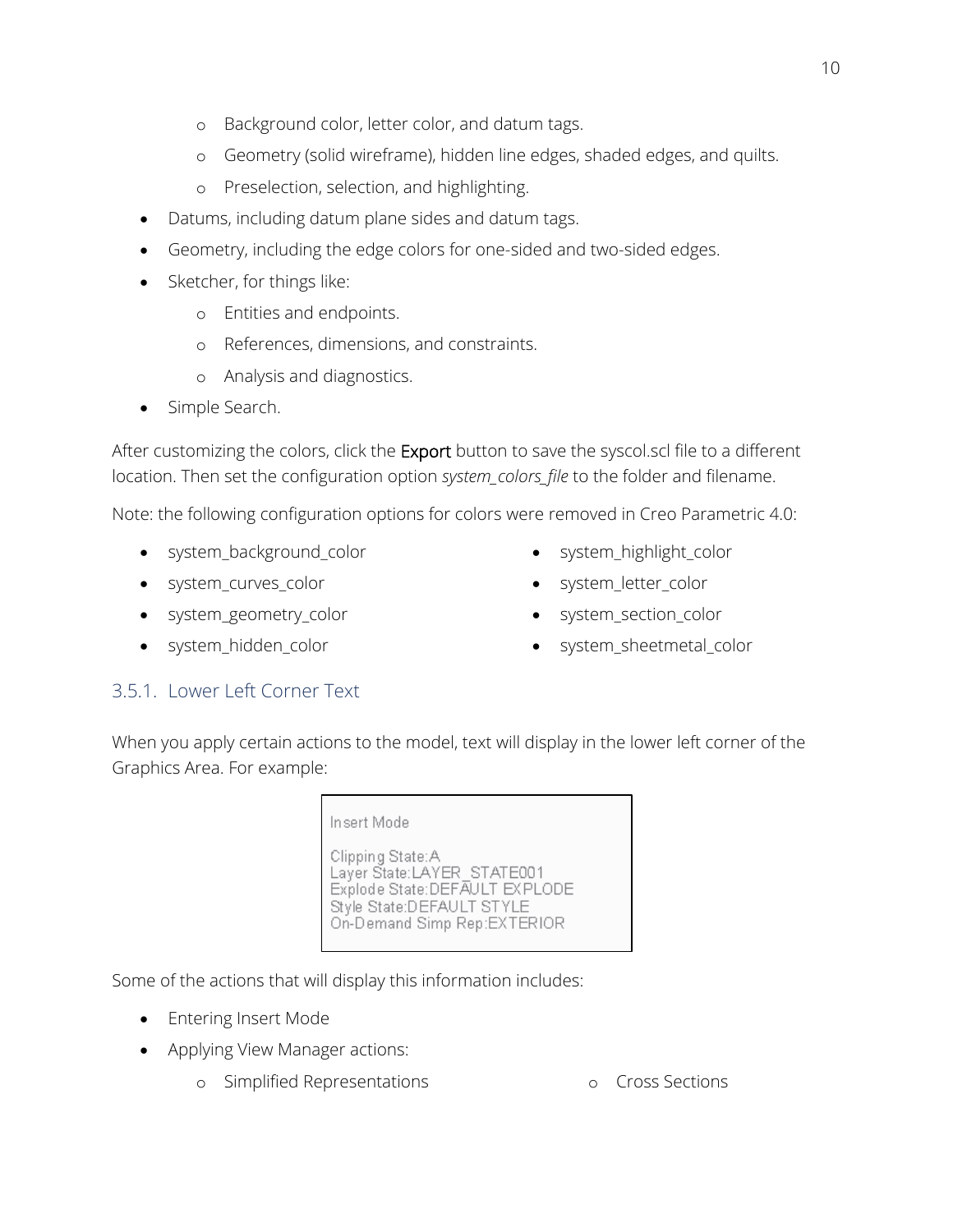- o Background color, letter color, and datum tags.
- o Geometry (solid wireframe), hidden line edges, shaded edges, and quilts.
- o Preselection, selection, and highlighting.
- Datums, including datum plane sides and datum tags.
- Geometry, including the edge colors for one-sided and two-sided edges.
- Sketcher, for things like:
	- o Entities and endpoints.
	- o References, dimensions, and constraints.
	- o Analysis and diagnostics.
- Simple Search.

After customizing the colors, click the Export button to save the syscol.scl file to a different location. Then set the configuration option *system\_colors\_file* to the folder and filename.

Note: the following configuration options for colors were removed in Creo Parametric 4.0:

- system\_background\_color
- system\_curves\_color
- system\_geometry\_color
- system\_hidden\_color
- system\_highlight\_color
- system\_letter\_color
- system\_section\_color
- system\_sheetmetal\_color

#### 3.5.1. Lower Left Corner Text

When you apply certain actions to the model, text will display in the lower left corner of the Graphics Area. For example:

> Insert Mode Clipping State: A Layer State:LAYER\_STATE001 Explode State:DEFAULT EXPLODE Style State:DEFAULT STYLE On-Demand Simp Rep:EXTERIOR

Some of the actions that will display this information includes:

- Entering Insert Mode
- Applying View Manager actions:
	- o Simplified Representations o Cross Sections

![](_page_9_Picture_27.jpeg)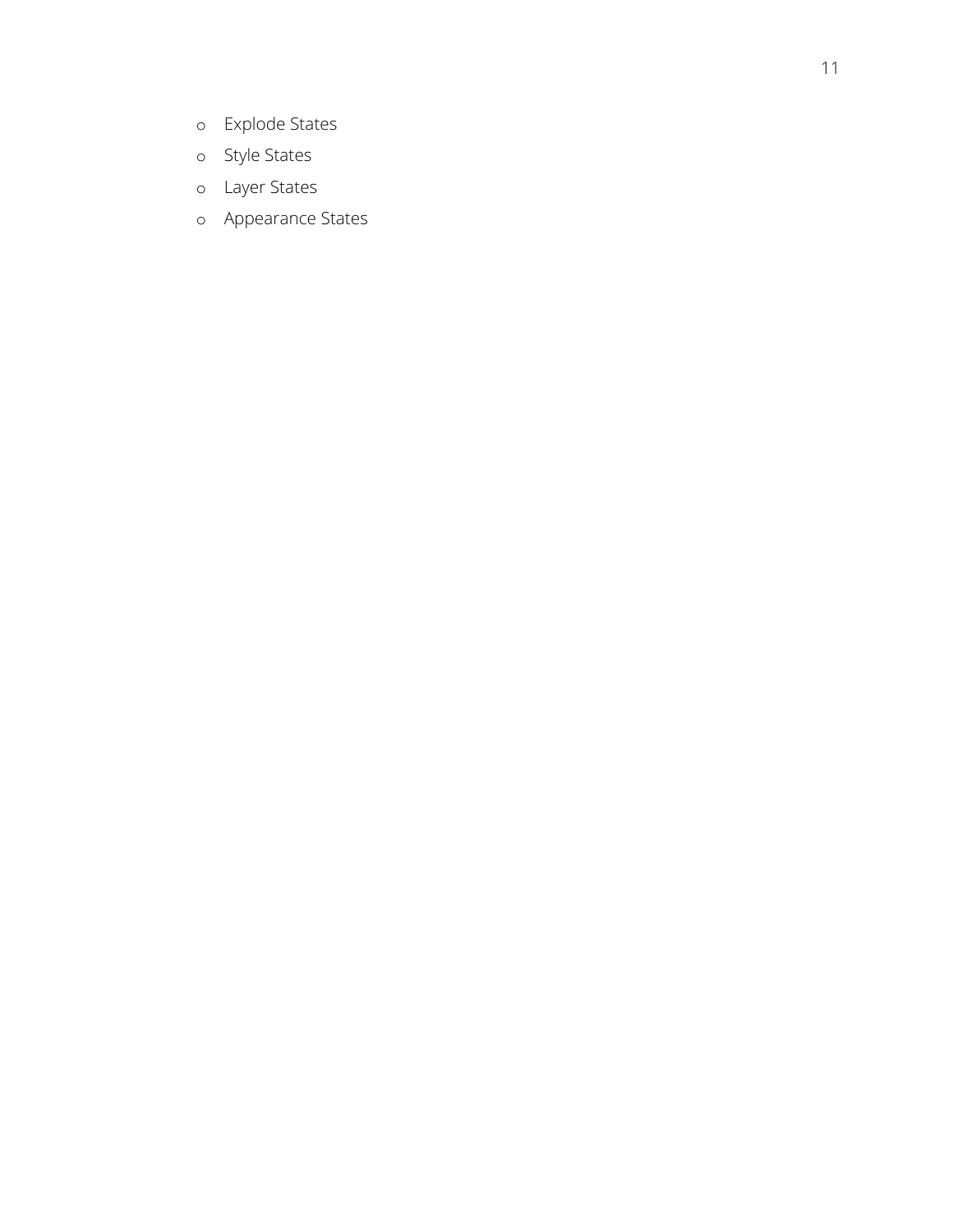- o Explode States
- o Style States
- o Layer States
- o Appearance States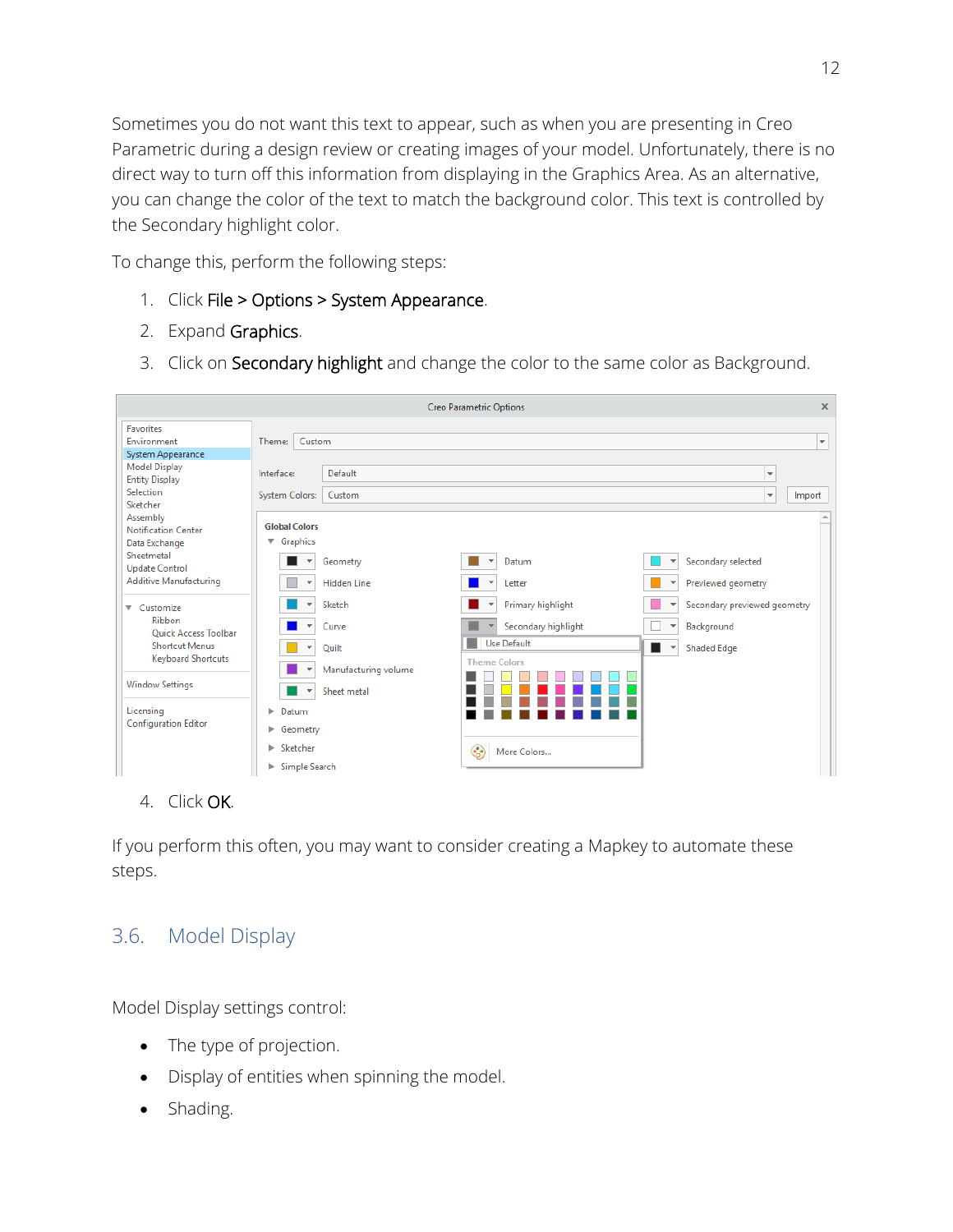Sometimes you do not want this text to appear, such as when you are presenting in Creo Parametric during a design review or creating images of your model. Unfortunately, there is no direct way to turn off this information from displaying in the Graphics Area. As an alternative, you can change the color of the text to match the background color. This text is controlled by the Secondary highlight color.

To change this, perform the following steps:

- 1. Click File > Options > System Appearance.
- 2. Expand Graphics.
- 3. Click on Secondary highlight and change the color to the same color as Background.

| <b>Creo Parametric Options</b>                          |                                           |                      |                          |                     |                              | $\times$                           |
|---------------------------------------------------------|-------------------------------------------|----------------------|--------------------------|---------------------|------------------------------|------------------------------------|
| <b>Favorites</b><br>Environment                         | Theme:<br>Custom                          |                      |                          |                     |                              | $\overline{\phantom{a}}$           |
| System Appearance                                       |                                           |                      |                          |                     |                              |                                    |
| <b>Model Display</b><br><b>Entity Display</b>           | Interface:                                | Default              |                          |                     |                              | $\overline{\mathbf{v}}$            |
| Selection                                               | <b>System Colors:</b>                     | Custom               |                          |                     |                              | $\overline{\phantom{a}}$<br>Import |
| Sketcher                                                |                                           |                      |                          |                     |                              |                                    |
| Assembly<br><b>Notification Center</b><br>Data Exchange | <b>Global Colors</b><br>$\nabla$ Graphics |                      |                          |                     |                              |                                    |
| Sheetmetal<br><b>Update Control</b>                     | $\overline{\mathbf{v}}$                   | Geometry             | $\overline{\phantom{a}}$ | Datum               | $\overline{\mathbf{v}}$      | Secondary selected                 |
| <b>Additive Manufacturing</b>                           | $\overline{\mathbf{v}}$                   | <b>Hidden Line</b>   | $\overline{\phantom{a}}$ | Letter              | $\overline{\mathbf v}$       | Previewed geometry                 |
| ▼ Customize                                             |                                           | Sketch               |                          | Primary highlight   | $\overline{\phantom{a}}$     | Secondary previewed geometry       |
| Ribbon<br><b>Ouick Access Toolbar</b>                   | $\overline{\mathbf{v}}$                   | Curve                |                          | Secondary highlight | $\overline{\mathbf{v}}$      | Background                         |
| <b>Shortcut Menus</b>                                   | $\overline{\mathbf{v}}$                   | Quilt                |                          | <b>Use Default</b>  | п<br>$\overline{\mathbf{v}}$ | <b>Shaded Edge</b>                 |
| <b>Keyboard Shortcuts</b>                               |                                           | Manufacturing volume |                          | <b>Theme Colors</b> |                              |                                    |
| <b>Window Settings</b>                                  |                                           | Sheet metal          |                          |                     |                              |                                    |
| Licensing                                               | Datum<br>ь.                               |                      |                          |                     |                              |                                    |
| <b>Configuration Editor</b>                             | ▶ Geometry                                |                      |                          |                     |                              |                                    |
|                                                         | $\blacktriangleright$ Sketcher            |                      | ۲                        | More Colors         |                              |                                    |
|                                                         | Simple Search<br>ь.                       |                      |                          |                     |                              |                                    |

#### 4. Click OK.

If you perform this often, you may want to consider creating a Mapkey to automate these steps.

## 3.6. Model Display

Model Display settings control:

- The type of projection.
- Display of entities when spinning the model.
- Shading.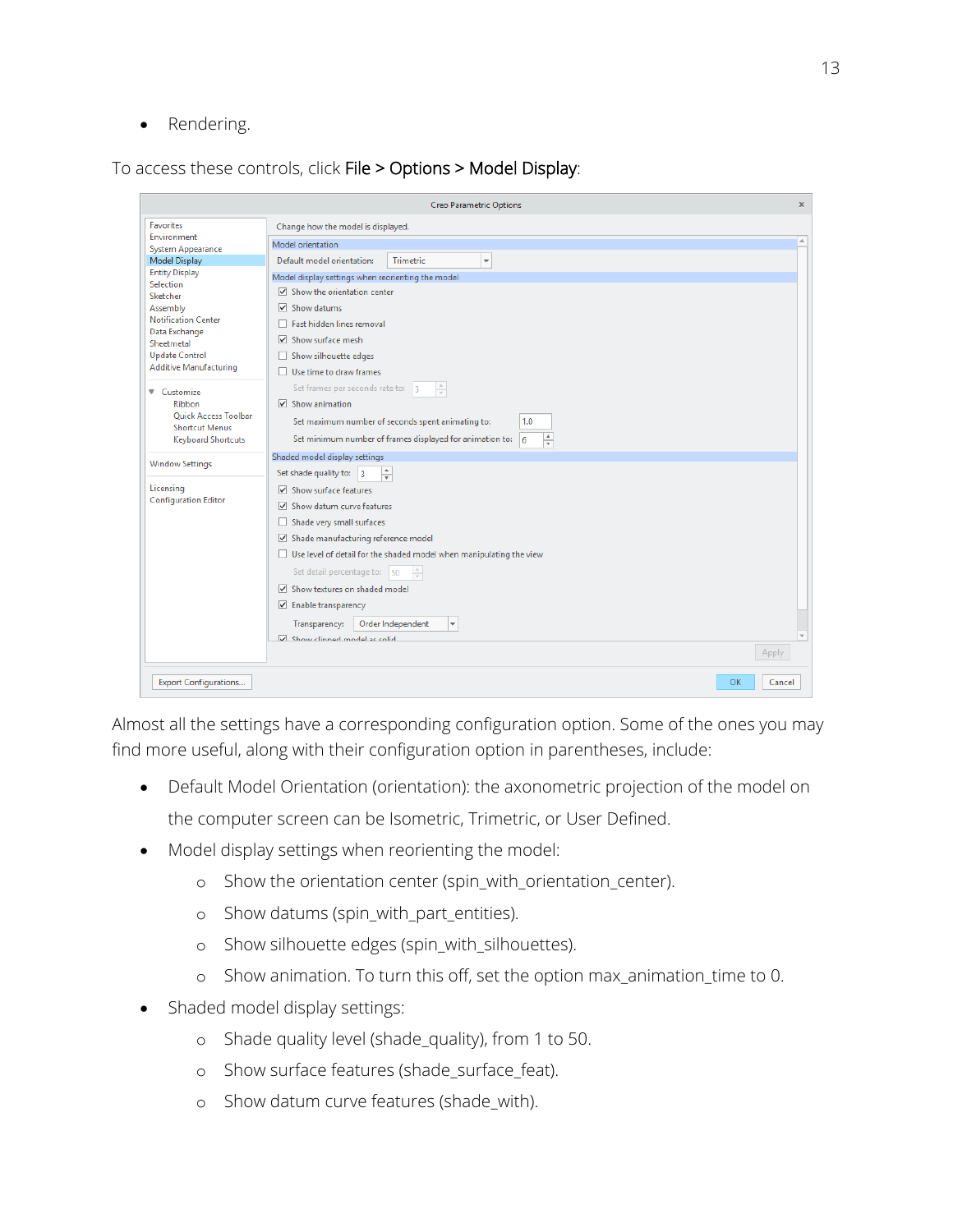• Rendering.

To access these controls, click File > Options > Model Display:

| <b>Creo Parametric Options</b><br>x                                                                                                                                                                        |                                                                                                                                                                                                                                                                                                                                                                                                                                                            |  |  |  |  |  |
|------------------------------------------------------------------------------------------------------------------------------------------------------------------------------------------------------------|------------------------------------------------------------------------------------------------------------------------------------------------------------------------------------------------------------------------------------------------------------------------------------------------------------------------------------------------------------------------------------------------------------------------------------------------------------|--|--|--|--|--|
| <b>Favorites</b>                                                                                                                                                                                           | Change how the model is displayed.                                                                                                                                                                                                                                                                                                                                                                                                                         |  |  |  |  |  |
| Environment<br><b>System Appearance</b>                                                                                                                                                                    | $\Delta$<br>Model orientation                                                                                                                                                                                                                                                                                                                                                                                                                              |  |  |  |  |  |
| <b>Model Display</b>                                                                                                                                                                                       | Default model orientation:<br><b>Trimetric</b><br>$\overline{\phantom{a}}$                                                                                                                                                                                                                                                                                                                                                                                 |  |  |  |  |  |
| <b>Entity Display</b><br>Selection<br>Sketcher<br>Assembly<br><b>Notification Center</b><br>Data Exchange<br>Sheetmetal<br><b>Update Control</b><br><b>Additive Manufacturing</b><br>▼ Customize<br>Ribbon | Model display settings when reorienting the model<br>$\triangledown$ Show the orientation center<br>Show datums<br>▽<br><b>Fast hidden lines removal</b><br>$\vee$ Show surface mesh<br>Show silhouette edges<br>Use time to draw frames<br>Set frames per seconds rate to: 3<br>$\frac{\Delta}{\Psi}$<br>$\triangledown$ Show animation                                                                                                                   |  |  |  |  |  |
| <b>Ouick Access Toolbar</b><br><b>Shortcut Menus</b><br><b>Keyboard Shortcuts</b>                                                                                                                          | Set maximum number of seconds spent animating to:<br>1.0<br>$\blacktriangle$<br>Set minimum number of frames displayed for animation to:<br>6<br>$\overline{\phantom{a}}$                                                                                                                                                                                                                                                                                  |  |  |  |  |  |
| <b>Window Settings</b>                                                                                                                                                                                     | Shaded model display settings<br>Set shade quality to: $ 3 $                                                                                                                                                                                                                                                                                                                                                                                               |  |  |  |  |  |
| Licensing<br><b>Configuration Editor</b>                                                                                                                                                                   | ÷<br>$\triangledown$ Show surface features<br>Show datum curve features<br>Shade very small surfaces<br>Shade manufacturing reference model<br>Use level of detail for the shaded model when manipulating the view<br>Set detail percentage to: 50<br>$\frac{A}{\pi}$<br>Show textures on shaded model<br>$\triangleright$ Enable transparency<br>Order Independent<br>Transparency:<br>$\overline{\phantom{a}}$<br>V Show clinned model as solid<br>Apply |  |  |  |  |  |
| <b>Export Configurations</b>                                                                                                                                                                               | OK<br>Cancel                                                                                                                                                                                                                                                                                                                                                                                                                                               |  |  |  |  |  |

Almost all the settings have a corresponding configuration option. Some of the ones you may find more useful, along with their configuration option in parentheses, include:

- Default Model Orientation (orientation): the axonometric projection of the model on the computer screen can be Isometric, Trimetric, or User Defined.
- Model display settings when reorienting the model:
	- o Show the orientation center (spin\_with\_orientation\_center).
	- o Show datums (spin\_with\_part\_entities).
	- o Show silhouette edges (spin\_with\_silhouettes).
	- o Show animation. To turn this off, set the option max\_animation\_time to 0.
- Shaded model display settings:
	- o Shade quality level (shade\_quality), from 1 to 50.
	- o Show surface features (shade\_surface\_feat).
	- o Show datum curve features (shade\_with).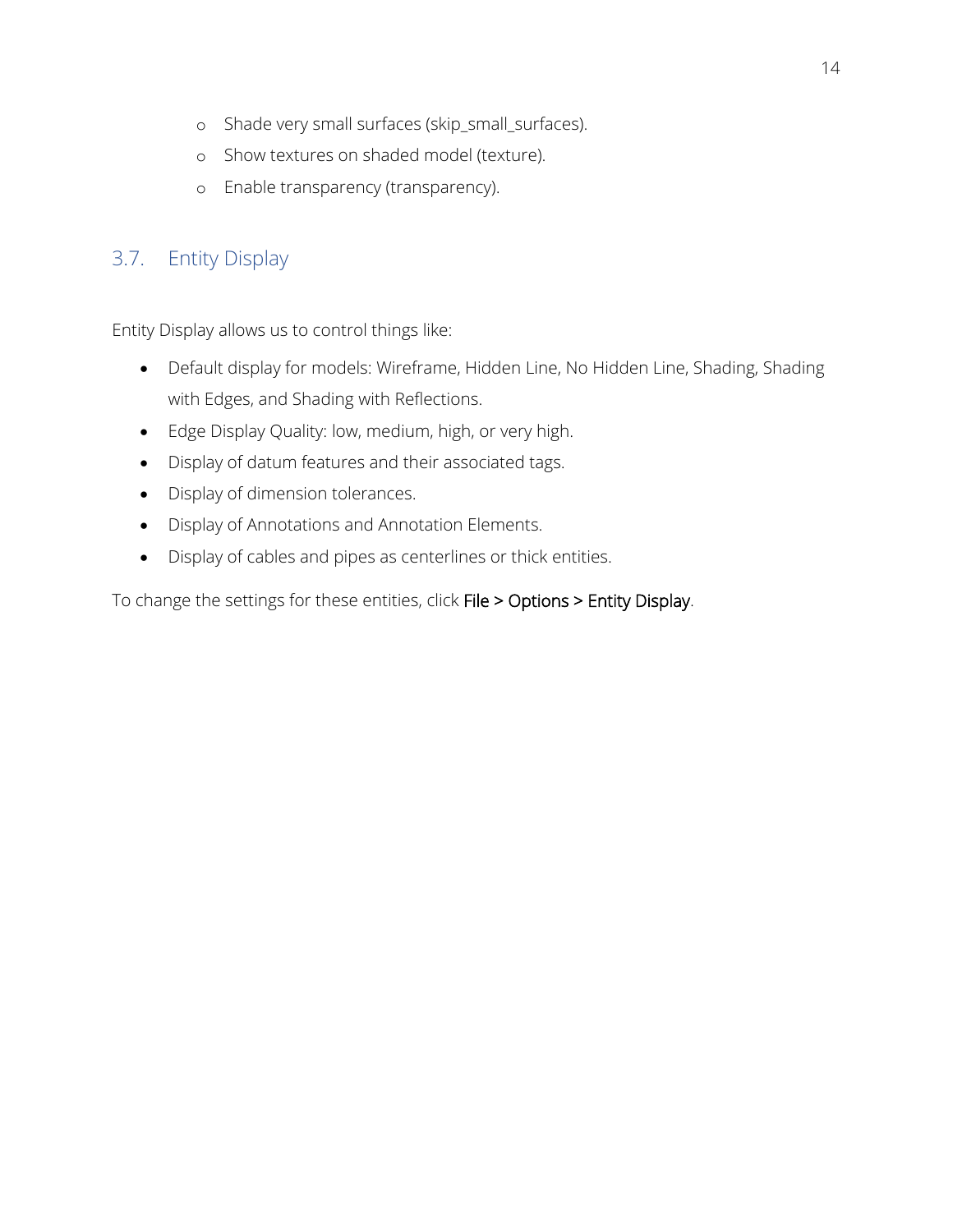- o Shade very small surfaces (skip\_small\_surfaces).
- o Show textures on shaded model (texture).
- o Enable transparency (transparency).

## 3.7. Entity Display

Entity Display allows us to control things like:

- Default display for models: Wireframe, Hidden Line, No Hidden Line, Shading, Shading with Edges, and Shading with Reflections.
- Edge Display Quality: low, medium, high, or very high.
- Display of datum features and their associated tags.
- Display of dimension tolerances.
- Display of Annotations and Annotation Elements.
- Display of cables and pipes as centerlines or thick entities.

To change the settings for these entities, click File > Options > Entity Display.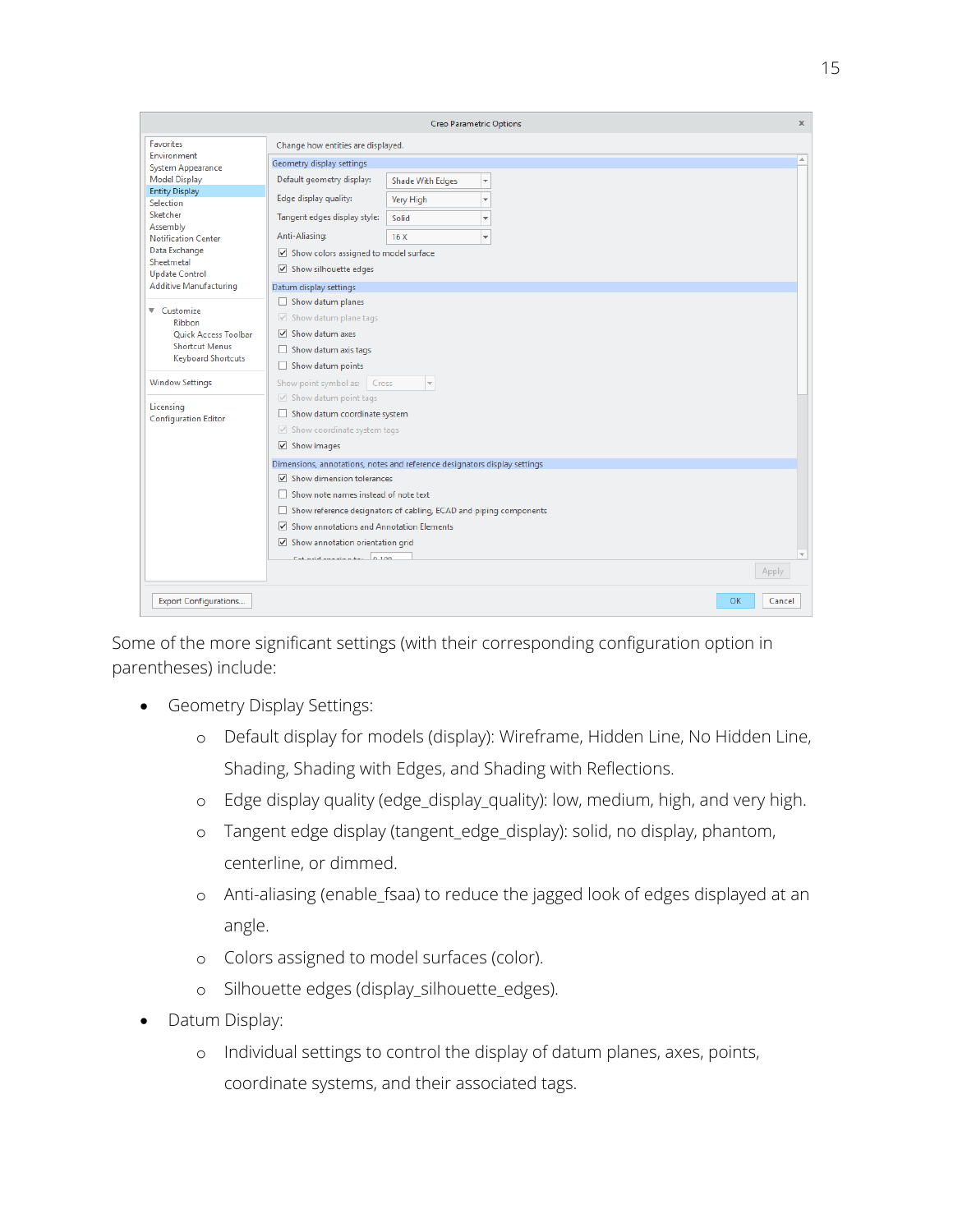|                                                                                                     | <b>Creo Parametric Options</b>                                                                                                    | $\times$         |  |  |  |  |
|-----------------------------------------------------------------------------------------------------|-----------------------------------------------------------------------------------------------------------------------------------|------------------|--|--|--|--|
| <b>Favorites</b>                                                                                    | Change how entities are displayed.                                                                                                |                  |  |  |  |  |
| Environment<br><b>System Appearance</b>                                                             | Geometry display settings                                                                                                         | $\blacktriangle$ |  |  |  |  |
| <b>Model Display</b>                                                                                | Default geometry display:<br><b>Shade With Edges</b><br>$\overline{\phantom{a}}$                                                  |                  |  |  |  |  |
| <b>Entity Display</b><br>Selection                                                                  | Edge display quality:<br>Very High<br>$\overline{\phantom{a}}$                                                                    |                  |  |  |  |  |
| Sketcher                                                                                            | Tangent edges display style:<br>Solid<br>$\overline{\mathbf v}$                                                                   |                  |  |  |  |  |
| Assembly<br><b>Notification Center</b>                                                              | Anti-Aliasing:<br>16X<br>$\overline{\phantom{a}}$                                                                                 |                  |  |  |  |  |
| Data Exchange<br>Sheetmetal                                                                         | $\sqrt{ }$ Show colors assigned to model surface                                                                                  |                  |  |  |  |  |
| <b>Update Control</b>                                                                               | Show silhouette edges                                                                                                             |                  |  |  |  |  |
| <b>Additive Manufacturing</b>                                                                       | Datum display settings                                                                                                            |                  |  |  |  |  |
| ▼ Customize<br>Ribbon<br>Quick Access Toolbar<br><b>Shortcut Menus</b><br><b>Keyboard Shortcuts</b> | Show datum planes<br>$\vee$ Show datum plane tags<br>$\triangledown$ Show datum axes<br>Show datum axis tags<br>Show datum points |                  |  |  |  |  |
| <b>Window Settings</b>                                                                              | Show point symbol as:<br>Cross<br>$\forall$                                                                                       |                  |  |  |  |  |
| Licensing<br><b>Configuration Editor</b>                                                            | $\vee$ Show datum point tags<br>Show datum coordinate system<br>$\vee$ Show coordinate system tags<br>$\triangledown$ Show images |                  |  |  |  |  |
|                                                                                                     | Dimensions, annotations, notes and reference designators display settings                                                         |                  |  |  |  |  |
|                                                                                                     | $\nabla$ Show dimension tolerances                                                                                                |                  |  |  |  |  |
|                                                                                                     | Show note names instead of note text                                                                                              |                  |  |  |  |  |
|                                                                                                     | Show reference designators of cabling, ECAD and piping components                                                                 |                  |  |  |  |  |
|                                                                                                     | Show annotations and Annotation Elements<br>$\triangledown$ Show annotation orientation grid                                      |                  |  |  |  |  |
|                                                                                                     | Capital and the Lat. A 100                                                                                                        |                  |  |  |  |  |
|                                                                                                     |                                                                                                                                   | Apply            |  |  |  |  |
| <b>Export Configurations</b>                                                                        | OK                                                                                                                                | Cancel           |  |  |  |  |

Some of the more significant settings (with their corresponding configuration option in parentheses) include:

- Geometry Display Settings:
	- o Default display for models (display): Wireframe, Hidden Line, No Hidden Line, Shading, Shading with Edges, and Shading with Reflections.
	- o Edge display quality (edge\_display\_quality): low, medium, high, and very high.
	- o Tangent edge display (tangent\_edge\_display): solid, no display, phantom, centerline, or dimmed.
	- o Anti-aliasing (enable\_fsaa) to reduce the jagged look of edges displayed at an angle.
	- o Colors assigned to model surfaces (color).
	- o Silhouette edges (display\_silhouette\_edges).
- Datum Display:
	- o Individual settings to control the display of datum planes, axes, points, coordinate systems, and their associated tags.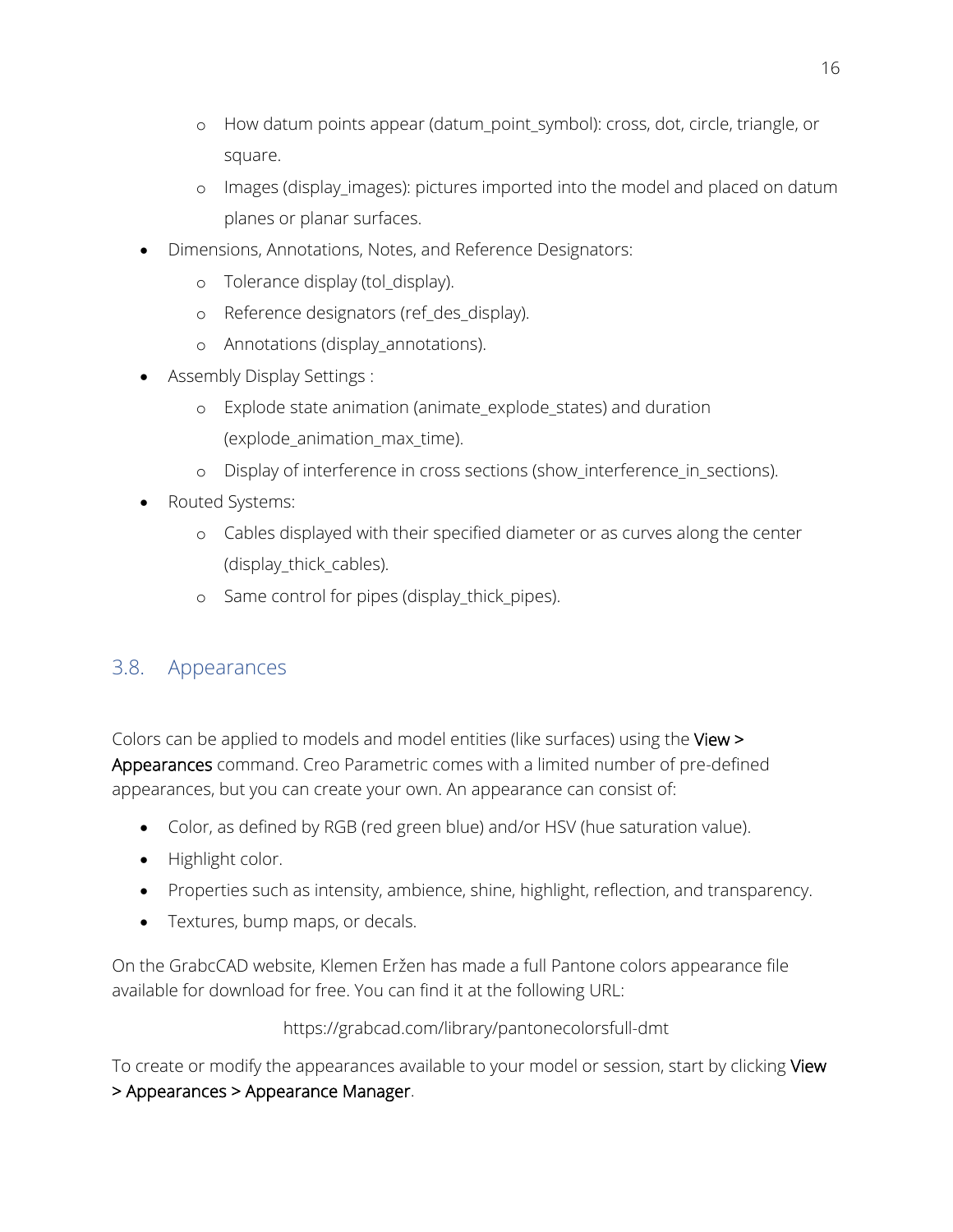- o How datum points appear (datum\_point\_symbol): cross, dot, circle, triangle, or square.
- o Images (display\_images): pictures imported into the model and placed on datum planes or planar surfaces.
- Dimensions, Annotations, Notes, and Reference Designators:
	- o Tolerance display (tol\_display).
	- o Reference designators (ref\_des\_display).
	- o Annotations (display\_annotations).
- Assembly Display Settings :
	- o Explode state animation (animate\_explode\_states) and duration (explode\_animation\_max\_time).
	- o Display of interference in cross sections (show\_interference\_in\_sections).
- Routed Systems:
	- o Cables displayed with their specified diameter or as curves along the center (display\_thick\_cables).
	- o Same control for pipes (display\_thick\_pipes).

## 3.8. Appearances

Colors can be applied to models and model entities (like surfaces) using the View > Appearances command. Creo Parametric comes with a limited number of pre-defined appearances, but you can create your own. An appearance can consist of:

- Color, as defined by RGB (red green blue) and/or HSV (hue saturation value).
- Highlight color.
- Properties such as intensity, ambience, shine, highlight, reflection, and transparency.
- Textures, bump maps, or decals.

On the GrabcCAD website, Klemen Eržen has made a full Pantone colors appearance file available for download for free. You can find it at the following URL:

https://grabcad.com/library/pantonecolorsfull-dmt

To create or modify the appearances available to your model or session, start by clicking View > Appearances > Appearance Manager.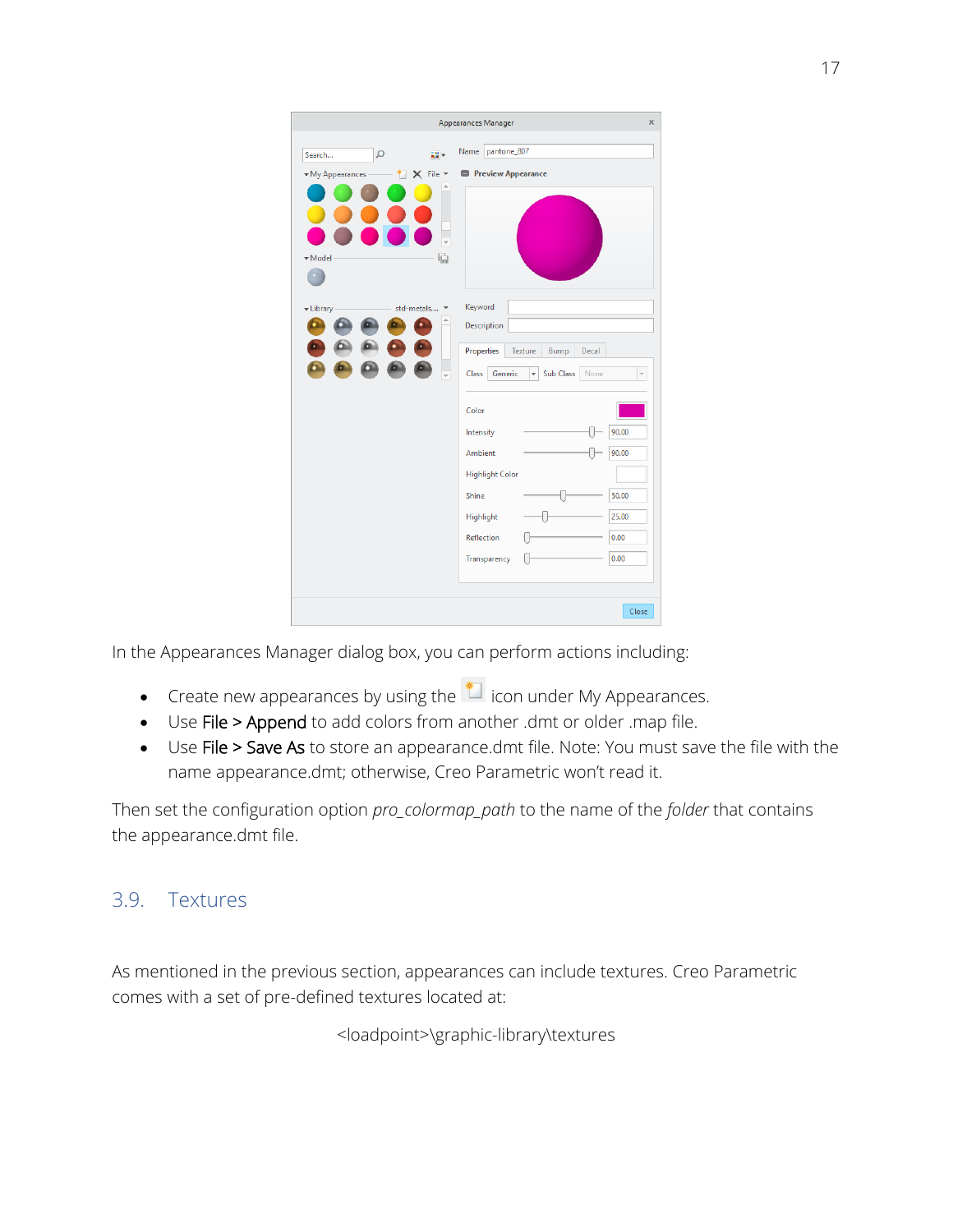|                                                   | <b>Appearances Manager</b><br>x                                   |
|---------------------------------------------------|-------------------------------------------------------------------|
| Q<br>됋도<br>Search                                 | Name pantone_807                                                  |
| $\times$ File $\times$<br>• My Appearances<br>* 1 | <b>Preview Appearance</b>                                         |
|                                                   |                                                                   |
|                                                   |                                                                   |
|                                                   |                                                                   |
| 碥<br>• Model                                      |                                                                   |
|                                                   |                                                                   |
| std-metals *<br>-Library                          | Keyword                                                           |
|                                                   | Description                                                       |
|                                                   | Properties<br>Texture<br>Bump<br>Decal                            |
|                                                   | $\overline{\phantom{a}}$<br>None<br>Class<br>Generic<br>Sub Class |
|                                                   | Color                                                             |
|                                                   | 90.00<br>Intensity                                                |
|                                                   | 90.00<br><b>Ambient</b>                                           |
|                                                   | <b>Highlight Color</b>                                            |
|                                                   | 50.00<br>Shine                                                    |
|                                                   | 25.00<br>Highlight                                                |
|                                                   | 0.00<br>Reflection                                                |
|                                                   | 0.00<br>Transparency                                              |
|                                                   |                                                                   |
|                                                   | Close                                                             |

In the Appearances Manager dialog box, you can perform actions including:

- Create new appearances by using the  $\overline{\bullet}$  icon under My Appearances.
- Use File > Append to add colors from another .dmt or older .map file.
- Use File > Save As to store an appearance.dmt file. Note: You must save the file with the name appearance.dmt; otherwise, Creo Parametric won't read it.

Then set the configuration option *pro\_colormap\_path* to the name of the *folder* that contains the appearance.dmt file.

## 3.9. Textures

As mentioned in the previous section, appearances can include textures. Creo Parametric comes with a set of pre-defined textures located at:

<loadpoint>\graphic-library\textures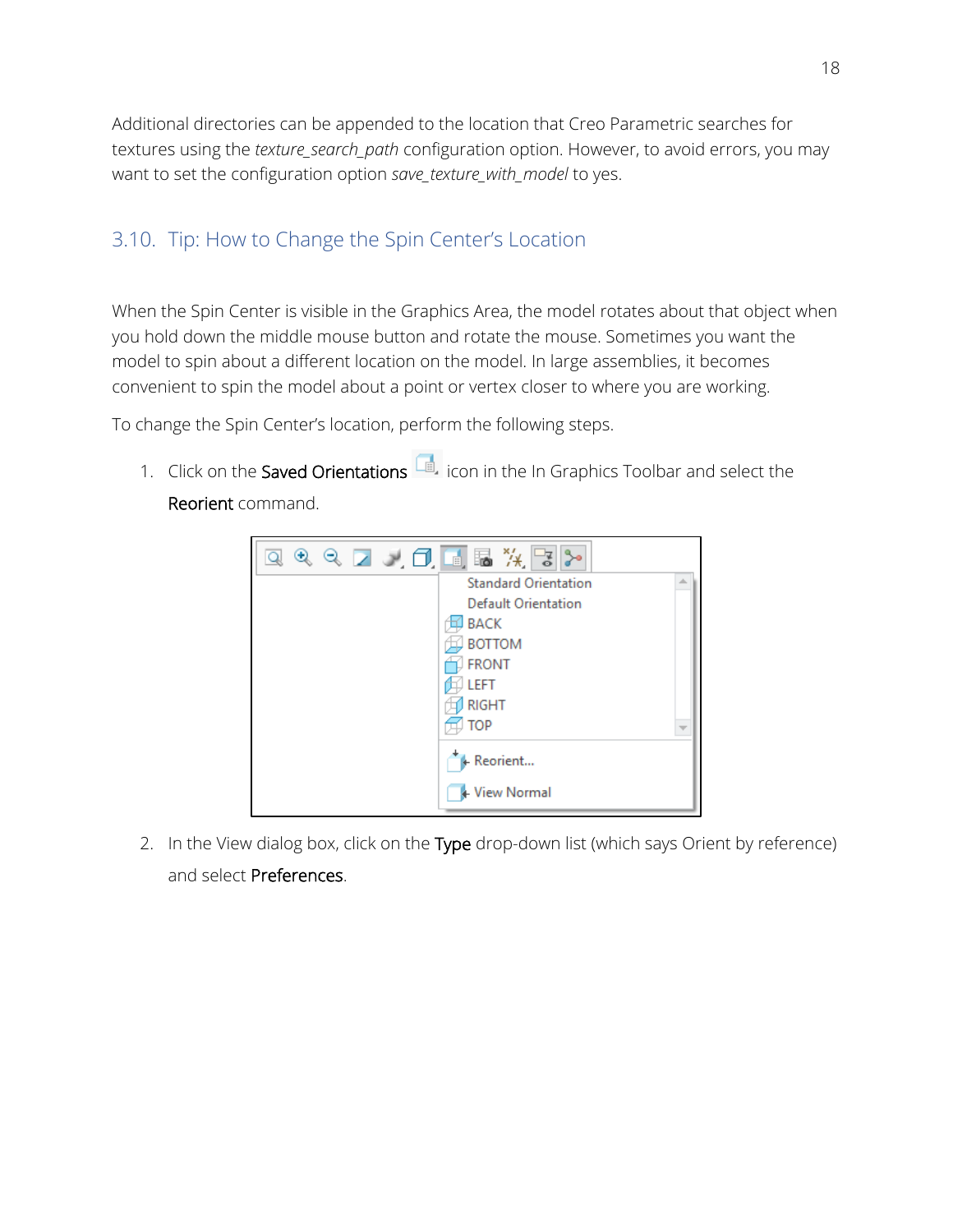Additional directories can be appended to the location that Creo Parametric searches for textures using the *texture\_search\_path* configuration option. However, to avoid errors, you may want to set the configuration option *save\_texture\_with\_model* to yes.

## 3.10. Tip: How to Change the Spin Center's Location

When the Spin Center is visible in the Graphics Area, the model rotates about that object when you hold down the middle mouse button and rotate the mouse. Sometimes you want the model to spin about a different location on the model. In large assemblies, it becomes convenient to spin the model about a point or vertex closer to where you are working.

To change the Spin Center's location, perform the following steps.

1. Click on the Saved Orientations  $\Box$  icon in the In Graphics Toolbar and select the Reorient command.

![](_page_17_Picture_5.jpeg)

2. In the View dialog box, click on the Type drop-down list (which says Orient by reference) and select Preferences.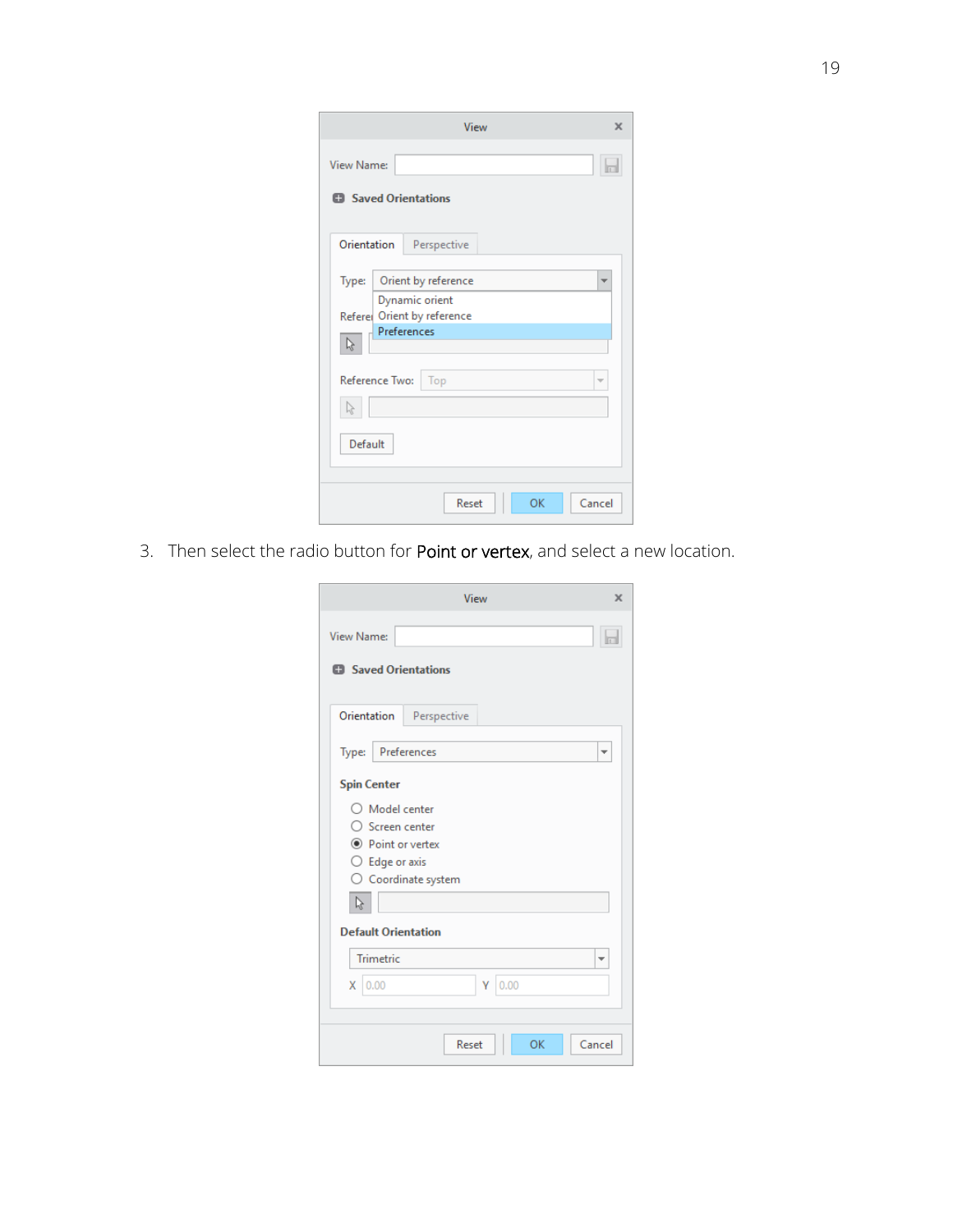|             | View                                          | $\mathbf x$             |
|-------------|-----------------------------------------------|-------------------------|
| View Name:  | <b>El</b> Saved Orientations                  | m                       |
| Orientation | Perspective                                   |                         |
| Type:       | Orient by reference                           | ▼                       |
|             | Dynamic orient<br>Referer Orient by reference |                         |
| Ŋ           | Preferences                                   |                         |
|             | Reference Two:<br>Top                         | $\overline{\mathbf{v}}$ |
| Default     |                                               |                         |
|             | Cancel<br>Reset<br>OK                         |                         |

3. Then select the radio button for Point or vertex, and select a new location.

| View                                                                                                                                                                                                    | ×      |
|---------------------------------------------------------------------------------------------------------------------------------------------------------------------------------------------------------|--------|
| <b>View Name:</b>                                                                                                                                                                                       | b      |
| <b>El</b> Saved Orientations                                                                                                                                                                            |        |
| Orientation<br>Perspective                                                                                                                                                                              |        |
| Preferences<br>Type:                                                                                                                                                                                    | ÷      |
| <b>Spin Center</b><br>$\bigcirc$ Model center<br>$\bigcirc$ Screen center<br>◉ Point or vertex<br>$\bigcirc$ Edge or axis<br>○ Coordinate system<br>ß<br><b>Default Orientation</b><br><b>Trimetric</b> | ÷      |
| 0.00<br>Υ<br>$X$ 0.00                                                                                                                                                                                   |        |
| OK<br>Reset                                                                                                                                                                                             | Cancel |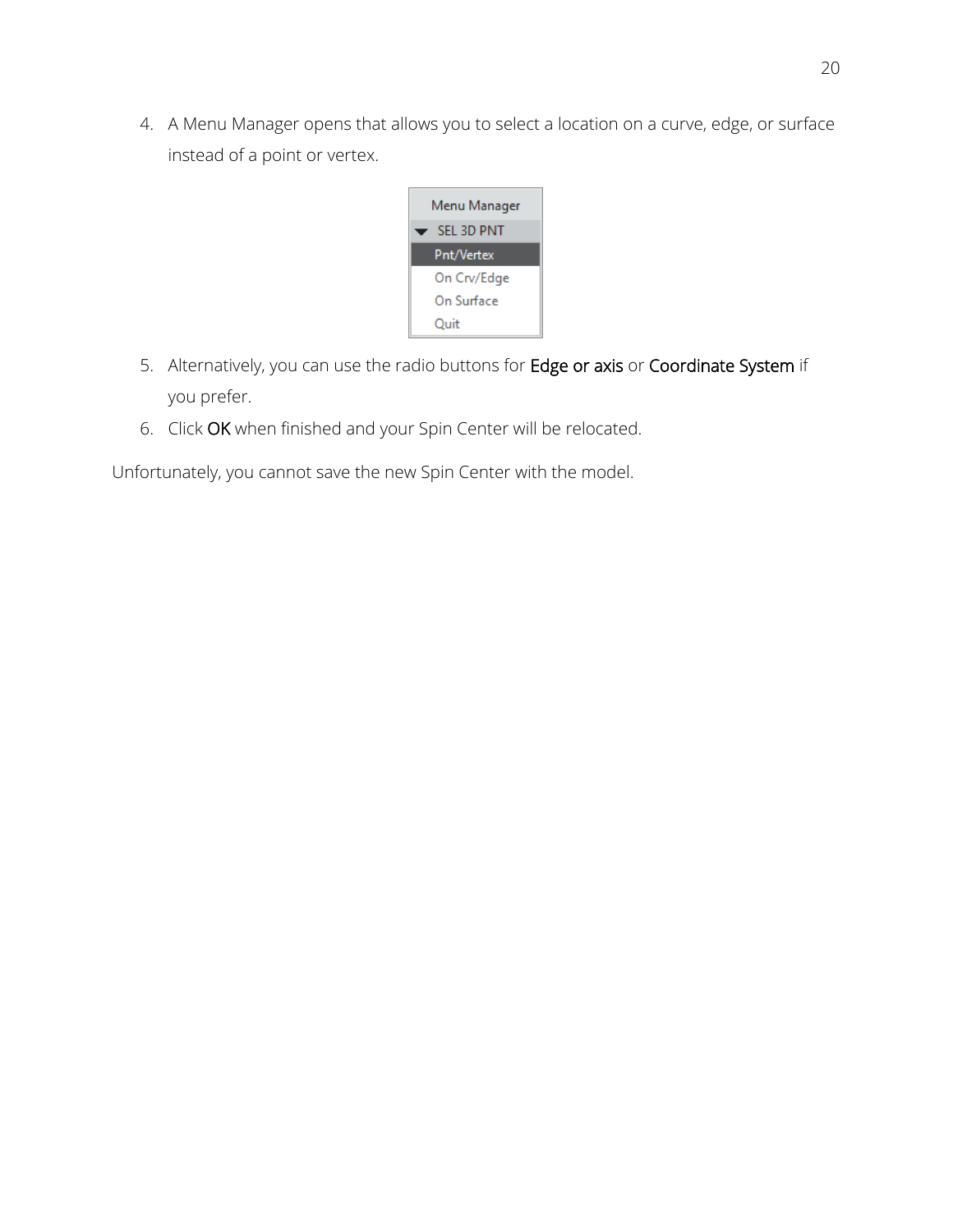4. A Menu Manager opens that allows you to select a location on a curve, edge, or surface instead of a point or vertex.

![](_page_19_Picture_1.jpeg)

- 5. Alternatively, you can use the radio buttons for Edge or axis or Coordinate System if you prefer.
- 6. Click OK when finished and your Spin Center will be relocated.

Unfortunately, you cannot save the new Spin Center with the model.